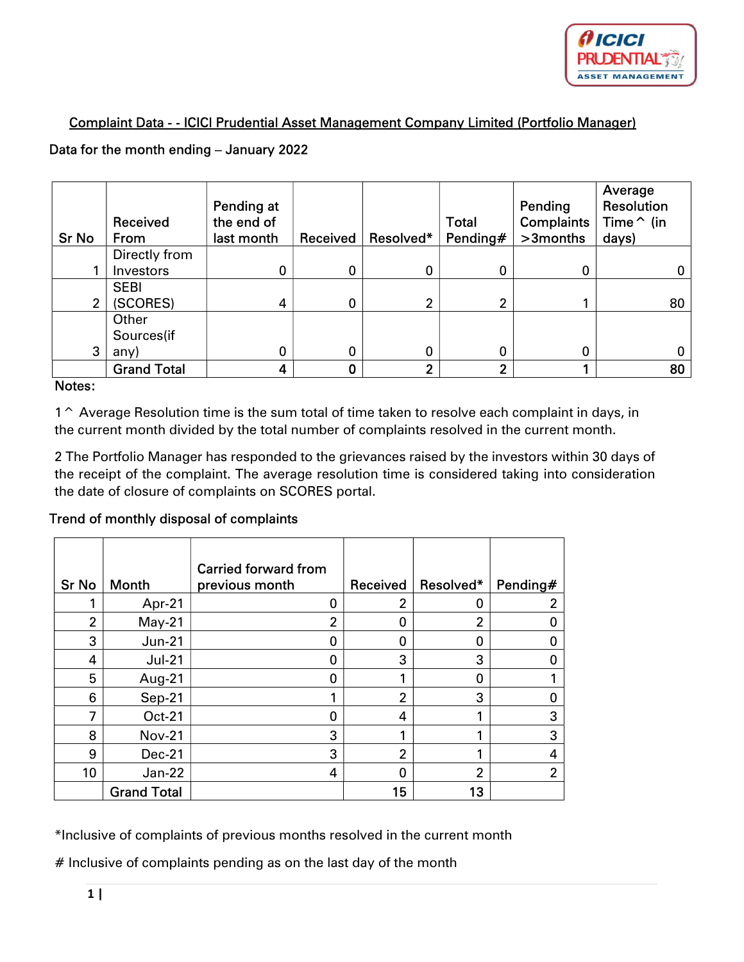

## Complaint Data - - ICICI Prudential Asset Management Company Limited (Portfolio Manager)

### Data for the month ending – January 2022

| <b>Sr No</b>   | Received<br>From   | Pending at<br>the end of<br>last month | Received | Resolved*      | <b>Total</b><br>Pending# | Pending<br><b>Complaints</b><br>>3months | Average<br>Resolution<br>Time $\hat{}$ (in<br>days) |
|----------------|--------------------|----------------------------------------|----------|----------------|--------------------------|------------------------------------------|-----------------------------------------------------|
|                | Directly from      |                                        |          |                |                          |                                          |                                                     |
|                | Investors          | 0                                      | 0        | 0              | 0                        | 0                                        | 0                                                   |
|                | <b>SEBI</b>        |                                        |          |                |                          |                                          |                                                     |
| $\mathfrak{p}$ | (SCORES)           | 4                                      | 0        | 2              | າ                        |                                          | 80                                                  |
|                | Other              |                                        |          |                |                          |                                          |                                                     |
|                | Sources(if         |                                        |          |                |                          |                                          |                                                     |
| 3              | any)               | 0                                      | 0        | 0              | 0                        | 0                                        | 0                                                   |
|                | <b>Grand Total</b> |                                        |          | $\overline{2}$ | າ                        |                                          | 80                                                  |

#### Notes:

1<sup>^</sup> Average Resolution time is the sum total of time taken to resolve each complaint in days, in the current month divided by the total number of complaints resolved in the current month.

2 The Portfolio Manager has responded to the grievances raised by the investors within 30 days of the receipt of the complaint. The average resolution time is considered taking into consideration the date of closure of complaints on SCORES portal.

#### Trend of monthly disposal of complaints

| <b>Sr No</b>   | <b>Month</b>       | <b>Carried forward from</b><br>previous month | Received | Resolved* | Pending# |
|----------------|--------------------|-----------------------------------------------|----------|-----------|----------|
|                | Apr-21             | 0                                             | 2        | 0         |          |
| $\overline{2}$ | $May-21$           | 2                                             | Π        | 2         |          |
| 3              | $Jun-21$           | 0                                             | O        | 0         |          |
| 4              | $Jul-21$           | 0                                             | 3        | 3         |          |
| 5              | Aug-21             | 0                                             |          | 0         |          |
| 6              | Sep-21             |                                               | 2        | 3         |          |
| 7              | <b>Oct-21</b>      | 0                                             | 4        |           | 3        |
| 8              | <b>Nov-21</b>      | 3                                             |          |           | 3        |
| 9              | $Dec-21$           | 3                                             | 2        |           | 4        |
| 10             | $Jan-22$           | 4                                             |          | 2         | 2        |
|                | <b>Grand Total</b> |                                               | 15       | 13        |          |

\*Inclusive of complaints of previous months resolved in the current month

# Inclusive of complaints pending as on the last day of the month